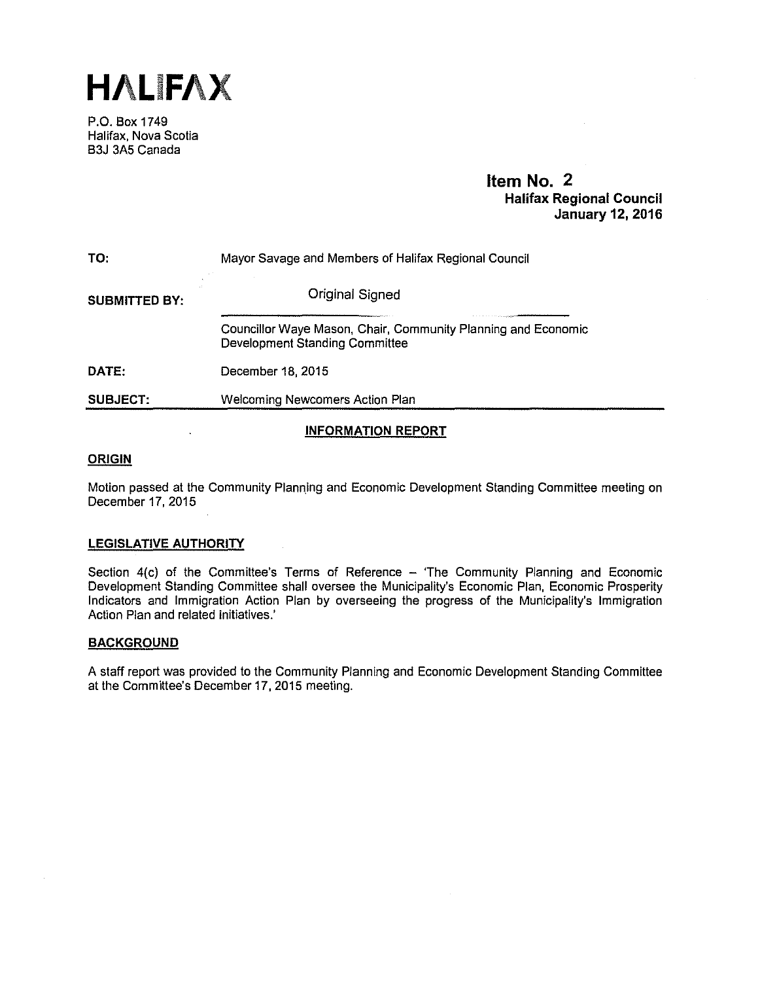

P.O. Box 1749 Halifax, Nova Scotia B3J 3A5 Canada

## **Item No. 2 Halifax Regional Council January 12, 2016**

| TO:                  | Mayor Savage and Members of Halifax Regional Council                                                   |  |  |
|----------------------|--------------------------------------------------------------------------------------------------------|--|--|
| <b>SUBMITTED BY:</b> | <b>Original Signed</b>                                                                                 |  |  |
|                      | Councillor Waye Mason, Chair, Community Planning and Economic<br><b>Development Standing Committee</b> |  |  |
| DATE:                | December 18, 2015                                                                                      |  |  |
| <b>SUBJECT:</b>      | <b>Welcoming Newcomers Action Plan</b>                                                                 |  |  |
|                      |                                                                                                        |  |  |

### **INFORMATION REPORT**

#### **ORIGIN**

Motion passed at the Community Planning and Economic Development Standing Committee meeting on December 17, 2015

#### **LEGISLATIVE AUTHORITY**

Section 4(c) of the Committee's Terms of Reference - 'The Community Planning and Economic Development Standing Committee shall oversee the Municipality's Economic Plan, Economic Prosperity Indicators and Immigration Action Plan by overseeing the progress of the Municipality's Immigration Action Plan and related initiatives.'

#### **BACKGROUND**

A staff report was provided to the Community Planning and Economic Development Standing Committee at the Committee's December 17, 2015 meeting.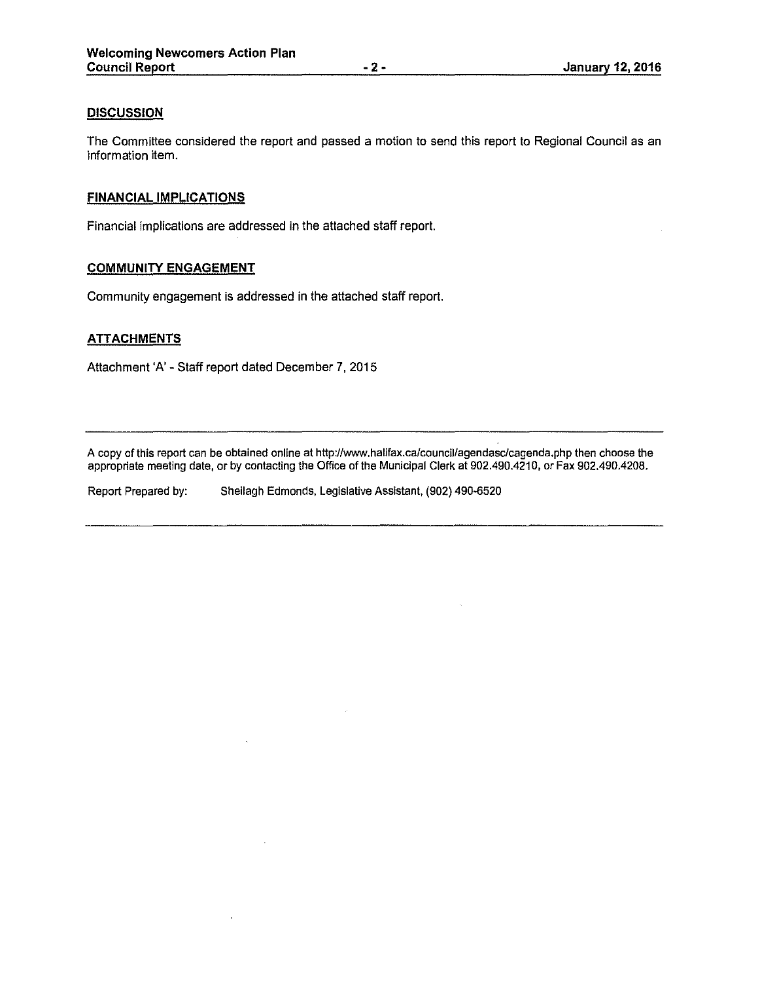#### **DISCUSSION**

The Committee considered the report and passed a motion to send this report to Regional Council as an information item.

#### **FINANCIAL IMPLICATIONS**

Financial implications are addressed in the attached staff report.

### **COMMUNITY ENGAGEMENT**

Community engagement is addressed in the attached staff report.

#### **ATTACHMENTS**

Attachment 'A' - Staff report dated December 7, 2015

A copy of this report can be obtained online at http://www.halifax.ca/council/agendasc/cagenda.php then choose the appropriate meeting date, or by contacting the Office of the Municipal Clerk at 902.490.4210, or Fax 902.490.4208.

Report Prepared by: Sheilagh Edmonds, Legislative Assistant, (902) 490-6520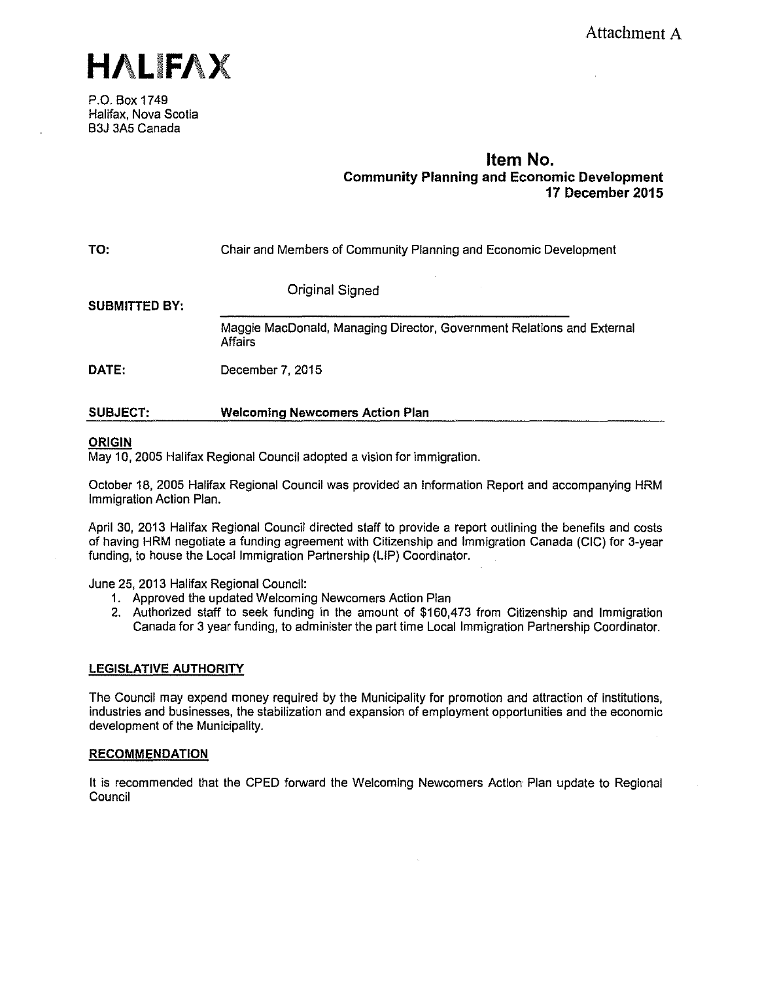

P.O. Box 1749 Halifax, Nova Scotia B3J 3A5 Canada

# **Item No. Community Planning and Economic Development 17 December 2015**

**TO:**  Chair and Members of Community Planning and Economic Development

Original Signed

**SUBMITTED BY:** 

Maggie MacDonald, Managing Director, Government Relations and External Affairs

**DATE:**  December 7, 2015

#### **SUBJECT: Welcoming Newcomers Action Plan**

#### **ORIGIN**

May 10, 2005 Halifax Regional Council adopted a vision for immigration.

October 18, 2005 Halifax Regional Council was provided an Information Report and accompanying HRM Immigration Action Plan.

April 30, 2013 Halifax Regional Council directed staff to provide a report outlining the benefits and costs of having HRM negotiate a funding agreement with Citizenship and Immigration Canada (CIC) for 3-year funding, to house the Local Immigration Partnership (LIP) Coordinator.

June 25, 2013 Halifax Regional Council:

- 1. Approved the updated Welcoming Newcomers Action Plan
- 2. Authorized staff to seek funding in the amount of \$160,473 from Citizenship and Immigration Canada for 3 year funding, to administer the part time Local Immigration Partnership Coordinator.

### **LEGISLATIVE AUTHORITY**

The Council may expend money required by the Municipality for promotion and attraction of institutions, industries and businesses, the stabilization and expansion of employment opportunities and the economic development of the Municipality.

#### **RECOMMENDATION**

It is recommended that the CPED forward the Welcoming Newcomers Action Plan update to Regional **Council**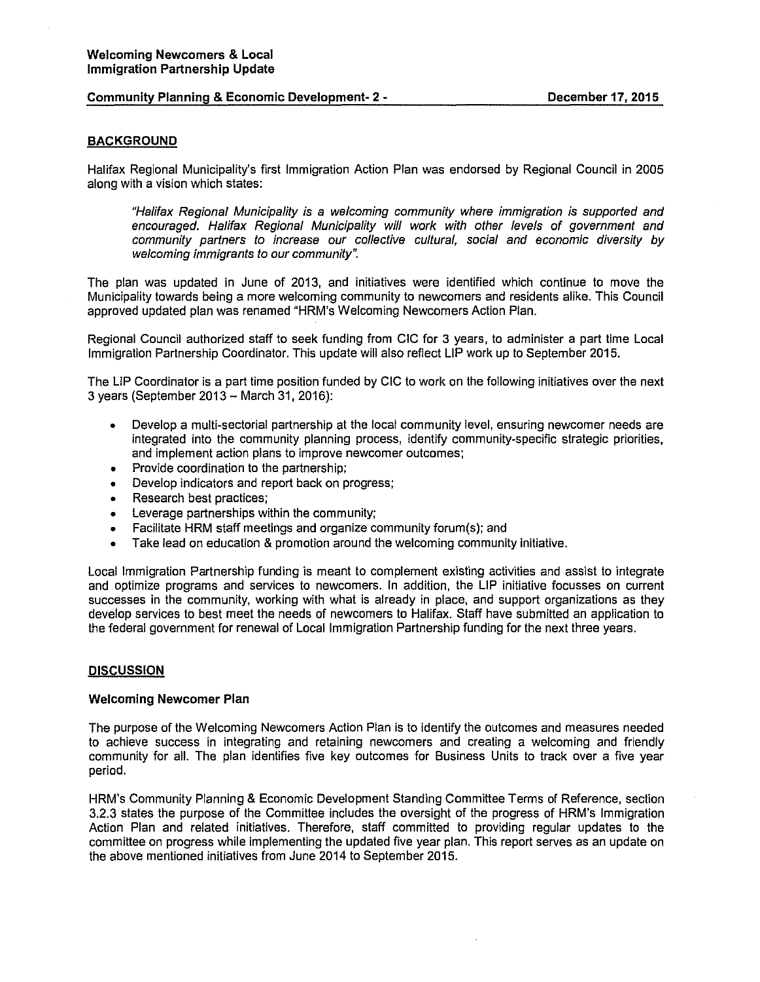#### **Community Planning & Economic Development- 2** •

#### **BACKGROUND**

Halifax Regional Municipality's first Immigration Action Plan was endorsed by Regional Council in 2005 along with a vision which states:

"Halifax Regional Municipality is a welcoming community where immigration is supported and encouraged. Halifax Regional Municipality will work with other levels of government and community partners to increase our collective cultural, social and economic diversity by welcoming immigrants to our community".

The plan was updated in June of 2013, and initiatives were identified which continue to move the Municipality towards being a more welcoming community to newcomers and residents alike. This Council approved updated plan was renamed "HRM's Welcoming Newcomers Action Plan.

Regional Council authorized staff to seek funding from CIC for 3 years, to administer a part time Local Immigration Partnership Coordinator. This update will also reflect LIP work up to September 2015.

The LIP Coordinator is a part time position funded by CIC to work on the following initiatives over the next 3 years (September 2013 - March 31, 2016):

- Develop a multi-sectorial partnership at the local community level, ensuring newcomer needs are integrated into the community planning process, identify community-specific strategic priorities, and implement action plans to improve newcomer outcomes;
- Provide coordination to the partnership;
- Develop indicators and report back on progress;
- Research best practices;
- Leverage partnerships within the community;
- Facilitate HRM staff meetings and organize community forum(s); and
- Take lead on education & promotion around the welcoming community initiative.

Local Immigration Partnership funding is meant to complement existing activities and assist to integrate and optimize programs and services to newcomers. In addition, the LIP initiative focusses on current successes in the community, working with what is already in place, and support organizations as they develop services to best meet the needs of newcomers to Halifax. Staff have submitted an application to the federal government for renewal of Local Immigration Partnership funding for the next three years.

#### **DISCUSSION**

#### **Welcoming Newcomer Plan**

The purpose of the Welcoming Newcomers Action Plan is to identify the outcomes and measures needed to achieve success in integrating and retaining newcomers and creating a welcoming and friendly community for all. The plan identifies five key outcomes for Business Units to track over a five year period.

HRM's Community Planning & Economic Development Standing Committee Terms of Reference, section 3.2.3 states the purpose of the Committee includes the oversight of the progress of HRM's Immigration Action Plan and related initiatives. Therefore, staff committed to providing regular updates to the committee on progress while implementing the updated five year plan. This report serves as an update on the above mentioned initiatives from June 2014 to September 2015.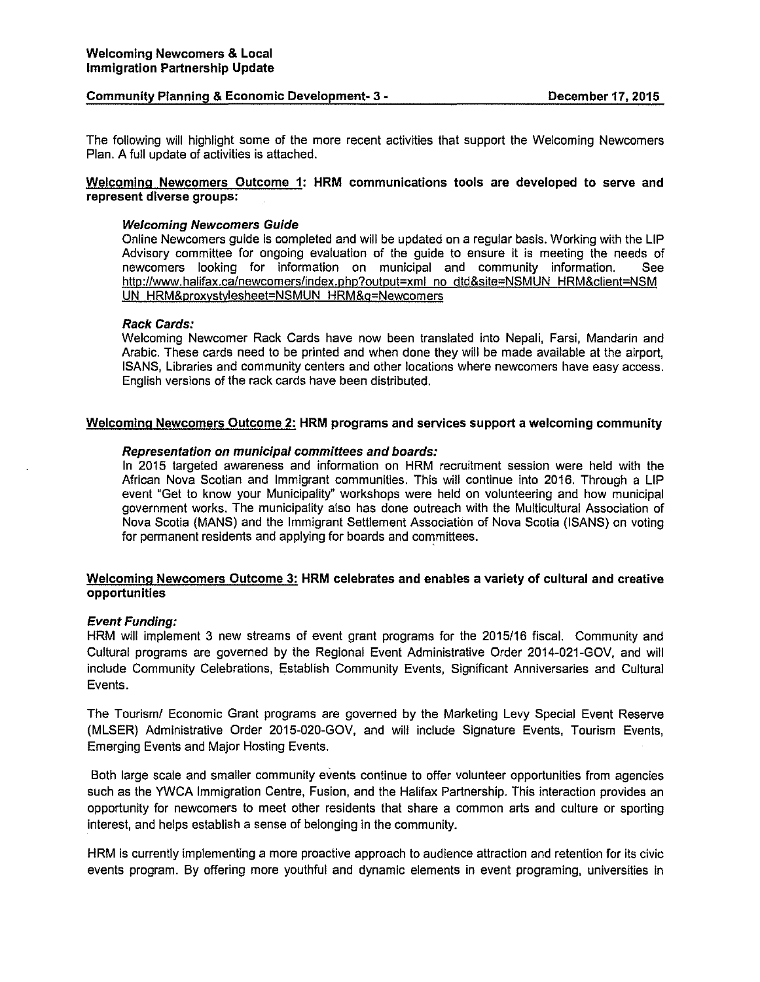#### **Community Planning & Economic Development- 3** - **December 17, 2015**

The following will highlight some of the more recent activities that support the Welcoming Newcomers Plan. A full update of activities is attached.

#### **Welcoming Newcomers Outcome 1: HRM communications tools are developed to serve and represent diverse groups:**

#### **Welcoming Newcomers Gulde**

Online Newcomers guide is completed and will be updated on a regular basis. Working with the LIP Advisory committee for ongoing evaluation of the guide to ensure it is meeting the needs of newcomers looking for information on municipal and community information. See http://www.halifax.ca/newcomers/index.php?output=xml no dtd&site=NSMUN HRM&client=NSM UN HRM&proxystylesheet=NSMUN HRM&g=Newcomers

#### **Rack Cards:**

Welcoming Newcomer Rack Cards have now been translated into Nepali, Farsi, Mandarin and Arabic. These cards need to be printed and when done they will be made available at the airport, ISANS, Libraries and community centers and other locations where newcomers have easy access. English versions of the rack cards have been distributed.

#### **Welcoming Newcomers Outcome 2: HRM programs and services support a welcoming community**

#### **Representation on municipal committees and boards:**

In 2015 targeted awareness and information on HRM recruitment session were held with the African Nova Scotian and Immigrant communities. This will continue into 2016. Through a LIP event "Get to know your Municipality" workshops were held on volunteering and how municipal government works. The municipality also has done outreach with the Multicultural Association of Nova Scotia (MANS) and the Immigrant Settlement Association of Nova Scotia (ISANS) on voting for permanent residents and applying for boards and committees.

#### **Welcoming Newcomers Outcome 3: HRM celebrates and enables a variety of cultural and creative opportunities**

#### **Event Funding:**

HRM will implement 3 new streams of event grant programs for the 2015/16 fiscal. Community and Cultural programs are governed by the Regional Event Administrative Order 2014-021-GOV, and will include Community Celebrations, Establish Community Events, Significant Anniversaries and Cultural Events.

The Tourism/ Economic Grant programs are governed by the Marketing Levy Special Event Reserve (MLSER) Administrative Order 2015-020-GOV, and will include Signature Events, Tourism Events, Emerging Events and Major Hosting Events.

Both large scale and smaller community events continue to offer volunteer opportunities from agencies such as the YWCA Immigration Centre, Fusion, and the Halifax Partnership. This interaction provides an opportunity for newcomers to meet other residents that share a common arts and culture or sporting interest, and helps establish a sense of belonging in the community.

HRM is currently implementing a more proactive approach to audience attraction and retention for its civic events program. By offering more youthful and dynamic elements in event programing, universities in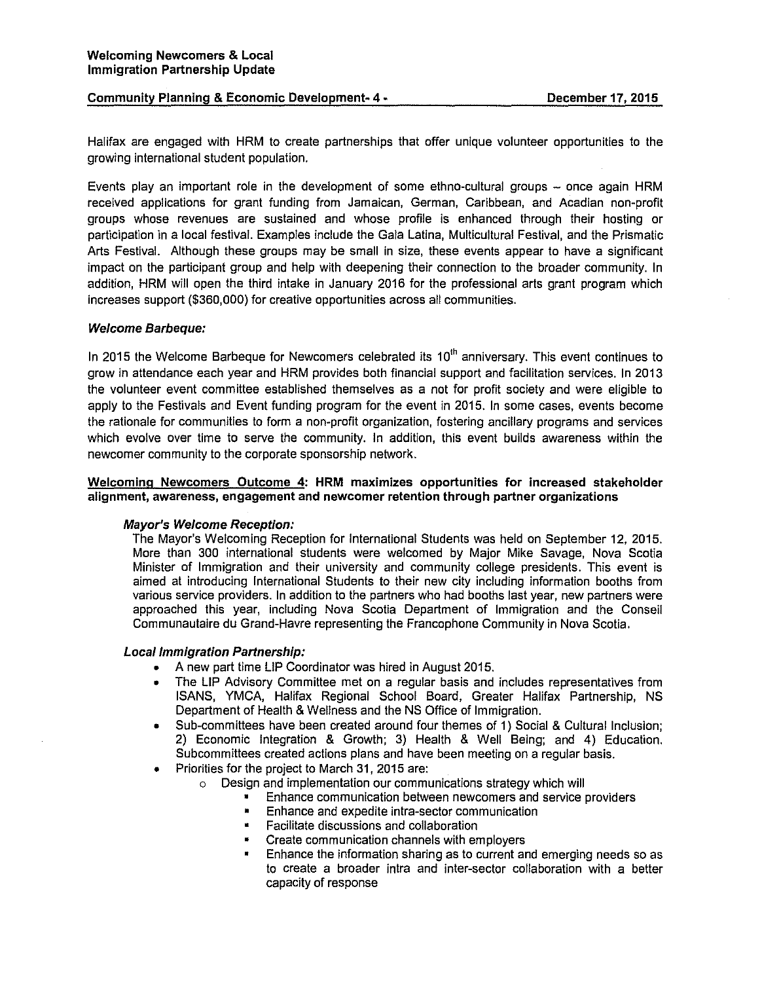#### Community Planning & Economic Development- 4 - **December 17, 2015**

Halifax are engaged with HRM to create partnerships that offer unique volunteer opportunities to the growing international student population.

Events play an important role in the development of some ethno-cultural groups - once again HRM received applications for grant funding from Jamaican, German, Caribbean, and Acadian non-profit groups whose revenues are sustained and whose profile is enhanced through their hosting or participation in a local festival. Examples include the Gala Latina, Multicultural Festival, and the Prismatic Arts Festival. Although these groups may be small in size, these events appear to have a significant impact on the participant group and help with deepening their connection to the broader community. In addition, HRM will open the third intake in January 2016 for the professional arts grant program which increases support (\$360,000) for creative opportunities across all communities.

#### Welcome Barbeque:

In 2015 the Welcome Barbeque for Newcomers celebrated its 10<sup>th</sup> anniversary. This event continues to grow in attendance each year and HRM provides both financial support and facilitation services. In 2013 the volunteer event committee established themselves as a not for profit society and were eligible to apply to the Festivals and Event funding program for the event in 2015. In some cases, events become the rationale for communities to form a non-profit organization, fostering ancillary programs and services which evolve over time to serve the community. In addition, this event builds awareness within the newcomer community to the corporate sponsorship network.

#### Welcoming Newcomers Outcome 4: HRM maximizes opportunities for increased stakeholder alignment, awareness, engagement and newcomer retention through partner organizations

#### Mayor's Welcome Reception:

The Mayor's Welcoming Reception for International Students was held on September 12, 2015. More than 300 international students were welcomed by Major Mike Savage, Nova Scotia Minister of Immigration and their university and community college presidents. This event is aimed at introducing International Students to their new city including information booths from various service providers. In addition to the partners who had booths last year, new partners were approached this year, including Nova Scotia Department of Immigration and the Conseil Communautaire du Grand-Havre representing the Francophone Community in Nova Scotia.

#### Local Immigration Partnership:

- A new part time LIP Coordinator was hired in August 2015.
- The LIP Advisory Committee met on a regular basis and includes representatives from ISANS, YMCA, Halifax Regional School Board, Greater Halifax Partnership, NS Department of Health & Wellness and the NS Office of Immigration.
- Sub-committees have been created around four themes of 1) Social & Cultural Inclusion; 2) Economic Integration & Growth; 3) Health & Well Being; and 4) Education. Subcommittees created actions plans and have been meeting on a regular basis.
- Priorities for the project to March 31, 2015 are:
	- o Design and implementation our communications strategy which will
		- Enhance communication between newcomers and service providers
		- Enhance and expedite intra-sector communication
		- Facilitate discussions and collaboration
		- Create communication channels with employers
		- Enhance the information sharing as to current and emerging needs so as to create a broader intra and inter-sector collaboration with a better capacity of response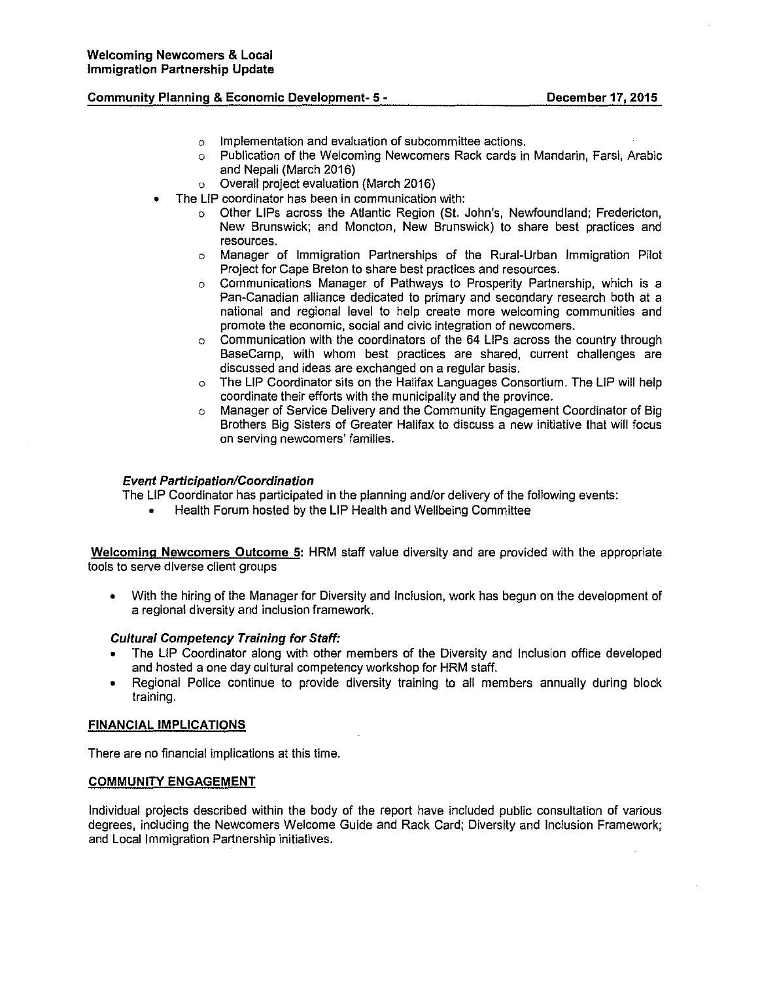#### **Community Planning & Economic Development- 5** •

- o Implementation and evaluation of subcommittee actions.
- o Publication of the Welcoming Newcomers Rack cards in Mandarin, Farsi, Arabic and Nepali (March 2016)
- o Overall project evaluation (March 2016)
- The LIP coordinator has been in communication with:
	- o Other LIPs across the Atlantic Region (St. John's, Newfoundland; Fredericton, New Brunswick; and Moncton, New Brunswick) to share best practices and resources.
	- o Manager of Immigration Partnerships of the Rural-Urban Immigration Pilot Project for Cape Breton to share best practices and resources.
	- o Communications Manager of Pathways to Prosperity Partnership, which is a Pan-Canadian alliance dedicated to primary and secondary research both at a national and regional level to help create more welcoming communities and promote the economic, social and civic integration of newcomers.
	- $\circ$  Communication with the coordinators of the 64 LIPs across the country through BaseCamp, with whom best practices are shared, current challenges are discussed and ideas are exchanged on a regular basis.
	- o The LIP Coordinator sits on the Halifax Languages Consortium. The LIP will help coordinate their efforts with the municipality and the province.
	- o Manager of Service Delivery and the Community Engagement Coordinator of Big Brothers Big Sisters of Greater Halifax to discuss a new initiative that will focus on serving newcomers' families.

#### **Event Participation/Coordination**

The LIP Coordinator has participated in the planning and/or delivery of the following events:

• Health Forum hosted by the LIP Health and Wellbeing Committee

**Welcoming Newcomers Outcome 5: HRM** staff value diversity and are provided with the appropriate tools to serve diverse client groups

• With the hiring of the Manager for Diversity and Inclusion, work has begun on the development of a regional diversity and inclusion framework.

#### **Cultural Competency Training for Staff:**

- The LIP Coordinator along with other members of the Diversity and Inclusion office developed and hosted a one day cultural competency workshop for HRM staff.
- Regional Police continue to provide diversity training to all members annually during block training.

#### **FINANCIAL IMPLICATIONS**

There are no financial implications at this time.

#### **COMMUNITY ENGAGEMENT**

Individual projects described within the body of the report have included public consultation of various degrees, including the Newcomers Welcome Guide and Rack Card; Diversity and Inclusion Framework; and Local Immigration Partnership initiatives.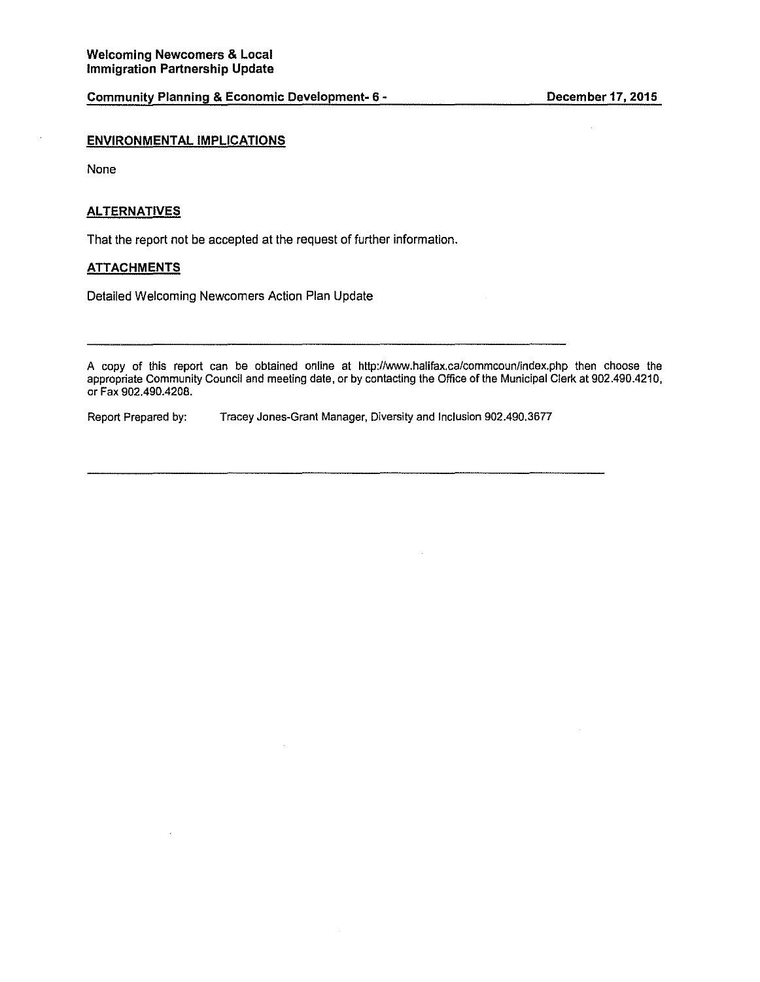#### **ENVIRONMENTAL IMPLICATIONS**

None

#### **ALTERNATIVES**

That the report not be accepted at the request of further information.

#### **ATTACHMENTS**

Detailed Welcoming Newcomers Action Plan Update

A copy of this report can be obtained online at http://www.halifax.ca/commcoun/index.php then choose the appropriate Community Council and meeting date, or by contacting the Office of the Municipal Clerk at 902.490.4210, or Fax 902.490.4208.

Report Prepared by: Tracey Jones-Grant Manager, Diversity and Inclusion 902.490.3677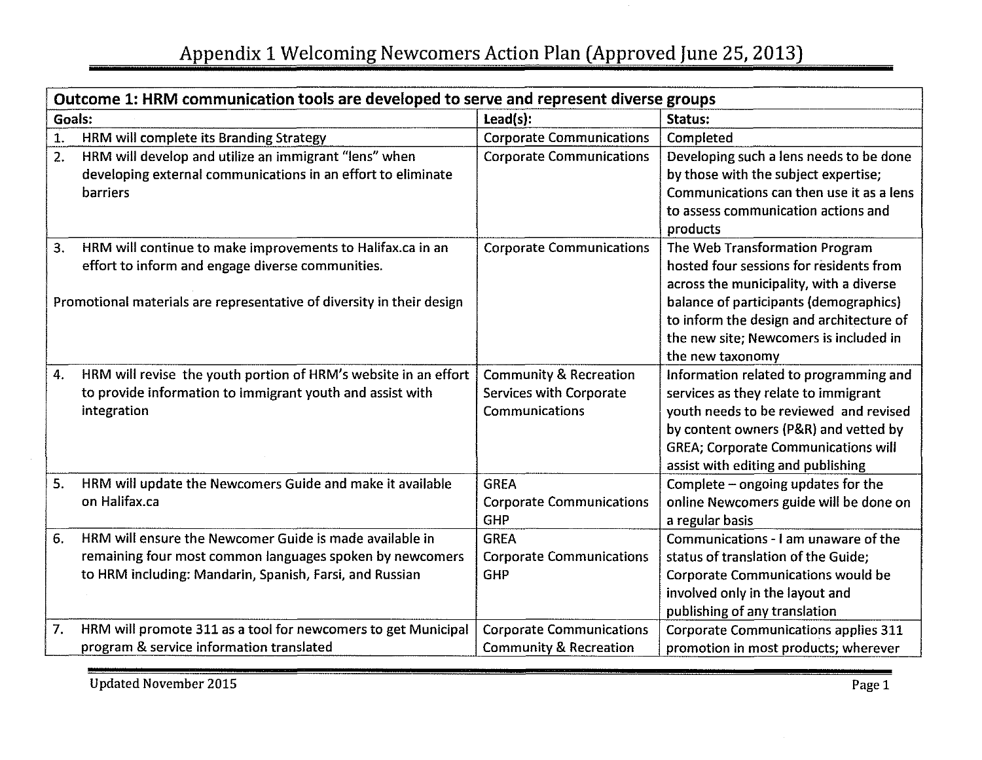| Outcome 1: HRM communication tools are developed to serve and represent diverse groups |                                                                          |                                                                     |                                                                                |  |
|----------------------------------------------------------------------------------------|--------------------------------------------------------------------------|---------------------------------------------------------------------|--------------------------------------------------------------------------------|--|
| Goals:                                                                                 |                                                                          | Lead(s):                                                            | Status:                                                                        |  |
| $\overline{1}$ .                                                                       | HRM will complete its Branding Strategy                                  | <b>Corporate Communications</b>                                     | Completed                                                                      |  |
| 2.                                                                                     | HRM will develop and utilize an immigrant "lens" when                    | <b>Corporate Communications</b>                                     | Developing such a lens needs to be done                                        |  |
|                                                                                        | developing external communications in an effort to eliminate             |                                                                     | by those with the subject expertise;                                           |  |
|                                                                                        | <b>barriers</b>                                                          |                                                                     | Communications can then use it as a lens                                       |  |
|                                                                                        |                                                                          |                                                                     | to assess communication actions and                                            |  |
|                                                                                        |                                                                          |                                                                     | products                                                                       |  |
| 3.                                                                                     | HRM will continue to make improvements to Halifax.ca in an               | <b>Corporate Communications</b>                                     | The Web Transformation Program                                                 |  |
|                                                                                        | effort to inform and engage diverse communities.                         |                                                                     | hosted four sessions for residents from                                        |  |
|                                                                                        |                                                                          |                                                                     | across the municipality, with a diverse                                        |  |
|                                                                                        | Promotional materials are representative of diversity in their design    |                                                                     | balance of participants (demographics)                                         |  |
|                                                                                        |                                                                          |                                                                     | to inform the design and architecture of                                       |  |
|                                                                                        |                                                                          |                                                                     | the new site; Newcomers is included in                                         |  |
|                                                                                        |                                                                          |                                                                     | the new taxonomy                                                               |  |
| 4.                                                                                     | HRM will revise the youth portion of HRM's website in an effort          | <b>Community &amp; Recreation</b><br><b>Services with Corporate</b> | Information related to programming and                                         |  |
|                                                                                        | to provide information to immigrant youth and assist with<br>integration | Communications                                                      | services as they relate to immigrant<br>youth needs to be reviewed and revised |  |
|                                                                                        |                                                                          |                                                                     | by content owners (P&R) and vetted by                                          |  |
|                                                                                        |                                                                          |                                                                     | <b>GREA; Corporate Communications will</b>                                     |  |
|                                                                                        |                                                                          |                                                                     | assist with editing and publishing                                             |  |
| 5.                                                                                     | HRM will update the Newcomers Guide and make it available                | <b>GREA</b>                                                         | Complete - ongoing updates for the                                             |  |
|                                                                                        | on Halifax.ca                                                            | <b>Corporate Communications</b>                                     | online Newcomers guide will be done on                                         |  |
|                                                                                        |                                                                          | GHP                                                                 | a regular basis                                                                |  |
| 6.                                                                                     | HRM will ensure the Newcomer Guide is made available in                  | <b>GREA</b>                                                         | Communications - I am unaware of the                                           |  |
|                                                                                        | remaining four most common languages spoken by newcomers                 | <b>Corporate Communications</b>                                     | status of translation of the Guide;                                            |  |
|                                                                                        | to HRM including: Mandarin, Spanish, Farsi, and Russian                  | <b>GHP</b>                                                          | Corporate Communications would be                                              |  |
|                                                                                        |                                                                          |                                                                     | involved only in the layout and                                                |  |
|                                                                                        |                                                                          |                                                                     | publishing of any translation                                                  |  |
| 7.                                                                                     | HRM will promote 311 as a tool for newcomers to get Municipal            | <b>Corporate Communications</b>                                     | <b>Corporate Communications applies 311</b>                                    |  |
|                                                                                        | program & service information translated                                 | <b>Community &amp; Recreation</b>                                   | promotion in most products; wherever                                           |  |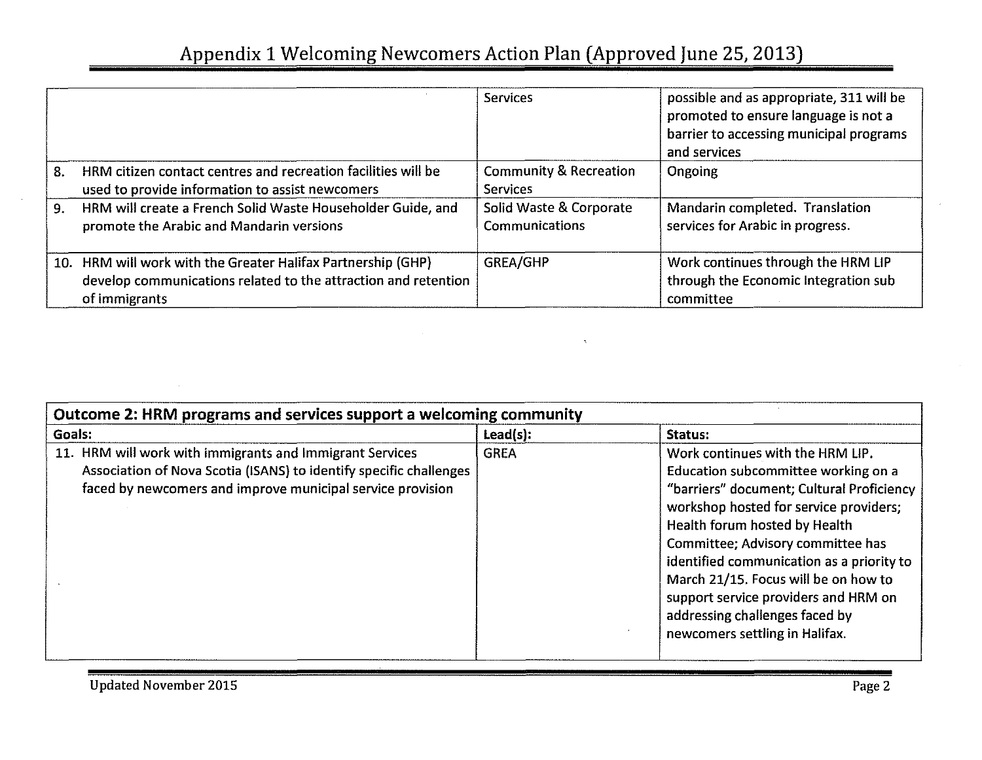|    |                                                                                                                                                 | <b>Services</b>                                      | possible and as appropriate, 311 will be<br>promoted to ensure language is not a<br>barrier to accessing municipal programs<br>and services |
|----|-------------------------------------------------------------------------------------------------------------------------------------------------|------------------------------------------------------|---------------------------------------------------------------------------------------------------------------------------------------------|
| 8. | HRM citizen contact centres and recreation facilities will be<br>used to provide information to assist newcomers                                | <b>Community &amp; Recreation</b><br><b>Services</b> | Ongoing                                                                                                                                     |
| 9. | HRM will create a French Solid Waste Householder Guide, and<br>promote the Arabic and Mandarin versions                                         | Solid Waste & Corporate<br>Communications            | Mandarin completed. Translation<br>services for Arabic in progress.                                                                         |
|    | 10. HRM will work with the Greater Halifax Partnership (GHP)<br>develop communications related to the attraction and retention<br>of immigrants | GREA/GHP                                             | Work continues through the HRM LIP<br>through the Economic Integration sub<br>committee                                                     |

| Lead(s):<br>Goals:<br>11. HRM will work with immigrants and Immigrant Services<br><b>GREA</b><br>Association of Nova Scotia (ISANS) to identify specific challenges | Outcome 2: HRM programs and services support a welcoming community                                                                                                                                                                                                                                                                                                                                                                    |  |  |  |
|---------------------------------------------------------------------------------------------------------------------------------------------------------------------|---------------------------------------------------------------------------------------------------------------------------------------------------------------------------------------------------------------------------------------------------------------------------------------------------------------------------------------------------------------------------------------------------------------------------------------|--|--|--|
|                                                                                                                                                                     | Status:                                                                                                                                                                                                                                                                                                                                                                                                                               |  |  |  |
| faced by newcomers and improve municipal service provision                                                                                                          | Work continues with the HRM LIP.<br>Education subcommittee working on a<br>"barriers" document; Cultural Proficiency<br>workshop hosted for service providers;<br>Health forum hosted by Health<br>Committee; Advisory committee has<br>identified communication as a priority to<br>March 21/15. Focus will be on how to<br>support service providers and HRM on<br>addressing challenges faced by<br>newcomers settling in Halifax. |  |  |  |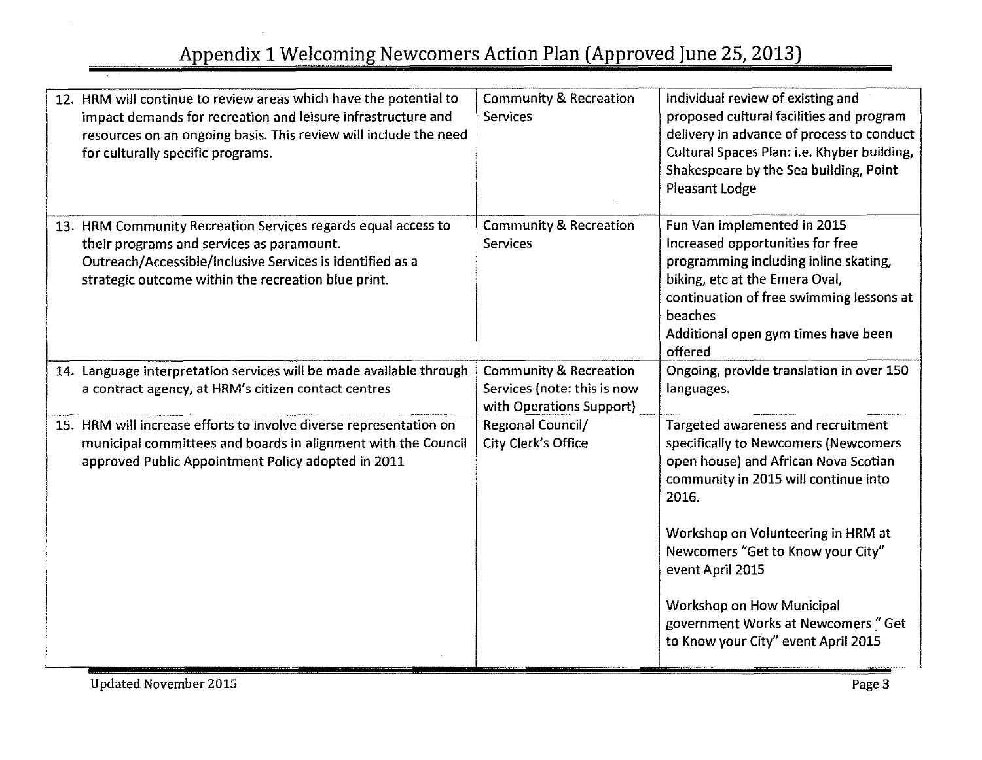# Appendix 1 Welcoming Newcomers Action Plan (Approved June 25, 2013)

| 12. HRM will continue to review areas which have the potential to<br>impact demands for recreation and leisure infrastructure and<br>resources on an ongoing basis. This review will include the need<br>for culturally specific programs. | <b>Community &amp; Recreation</b><br><b>Services</b>                                         | Individual review of existing and<br>proposed cultural facilities and program<br>delivery in advance of process to conduct<br>Cultural Spaces Plan: i.e. Khyber building,<br>Shakespeare by the Sea building, Point<br>Pleasant Lodge                                                                                                                                                       |
|--------------------------------------------------------------------------------------------------------------------------------------------------------------------------------------------------------------------------------------------|----------------------------------------------------------------------------------------------|---------------------------------------------------------------------------------------------------------------------------------------------------------------------------------------------------------------------------------------------------------------------------------------------------------------------------------------------------------------------------------------------|
| 13. HRM Community Recreation Services regards equal access to<br>their programs and services as paramount.<br>Outreach/Accessible/Inclusive Services is identified as a<br>strategic outcome within the recreation blue print.             | <b>Community &amp; Recreation</b><br><b>Services</b>                                         | Fun Van implemented in 2015<br>Increased opportunities for free<br>programming including inline skating,<br>biking, etc at the Emera Oval,<br>continuation of free swimming lessons at<br>beaches<br>Additional open gym times have been<br>offered                                                                                                                                         |
| 14. Language interpretation services will be made available through<br>a contract agency, at HRM's citizen contact centres                                                                                                                 | <b>Community &amp; Recreation</b><br>Services (note: this is now<br>with Operations Support) | Ongoing, provide translation in over 150<br>languages.                                                                                                                                                                                                                                                                                                                                      |
| 15. HRM will increase efforts to involve diverse representation on<br>municipal committees and boards in alignment with the Council<br>approved Public Appointment Policy adopted in 2011                                                  | Regional Council/<br>City Clerk's Office                                                     | <b>Targeted awareness and recruitment</b><br>specifically to Newcomers (Newcomers<br>open house) and African Nova Scotian<br>community in 2015 will continue into<br>2016.<br>Workshop on Volunteering in HRM at<br>Newcomers "Get to Know your City"<br>event April 2015<br><b>Workshop on How Municipal</b><br>government Works at Newcomers " Get<br>to Know your City" event April 2015 |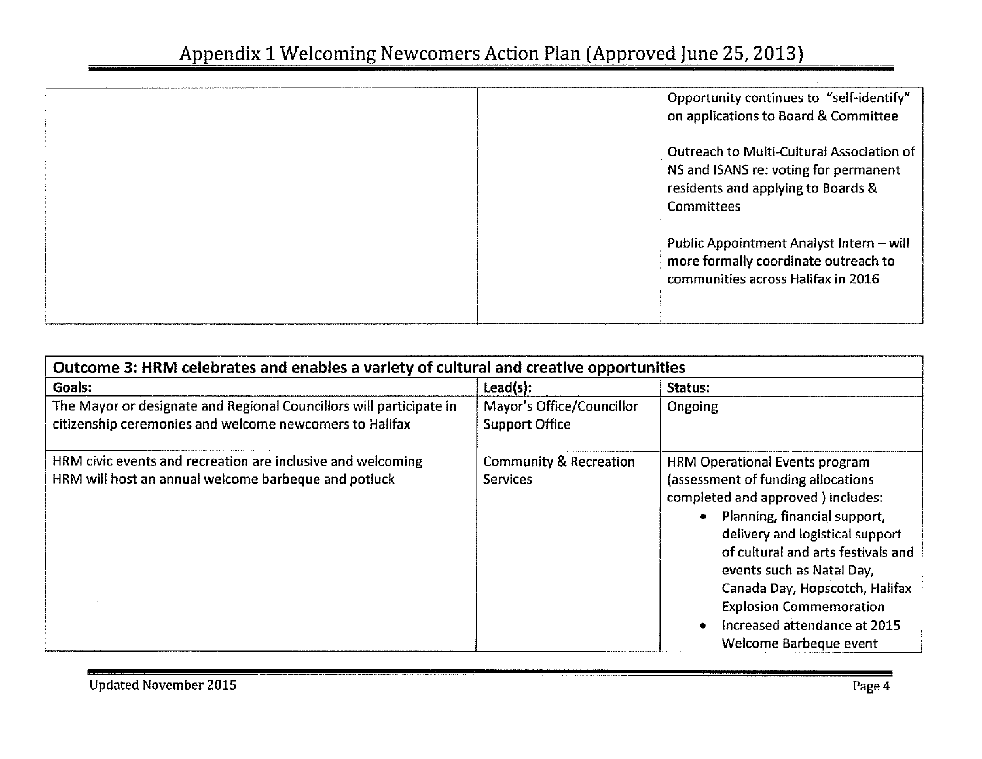| Opportunity continues to "self-identify"<br>on applications to Board & Committee                                                              |
|-----------------------------------------------------------------------------------------------------------------------------------------------|
| Outreach to Multi-Cultural Association of<br>NS and ISANS re: voting for permanent<br>residents and applying to Boards &<br><b>Committees</b> |
| Public Appointment Analyst Intern - will<br>more formally coordinate outreach to<br>communities across Halifax in 2016                        |

| Outcome 3: HRM celebrates and enables a variety of cultural and creative opportunities                                         |                                                      |                                                                                                                                                                                                                                                                                                                                                                                       |  |
|--------------------------------------------------------------------------------------------------------------------------------|------------------------------------------------------|---------------------------------------------------------------------------------------------------------------------------------------------------------------------------------------------------------------------------------------------------------------------------------------------------------------------------------------------------------------------------------------|--|
| Goals:                                                                                                                         | $\textsf{lead}(s)$ :                                 | Status:                                                                                                                                                                                                                                                                                                                                                                               |  |
| The Mayor or designate and Regional Councillors will participate in<br>citizenship ceremonies and welcome newcomers to Halifax | Mayor's Office/Councillor<br><b>Support Office</b>   | Ongoing                                                                                                                                                                                                                                                                                                                                                                               |  |
| HRM civic events and recreation are inclusive and welcoming<br>HRM will host an annual welcome barbeque and potluck            | <b>Community &amp; Recreation</b><br><b>Services</b> | <b>HRM Operational Events program</b><br>(assessment of funding allocations<br>completed and approved ) includes:<br>Planning, financial support,<br>delivery and logistical support<br>of cultural and arts festivals and<br>events such as Natal Day,<br>Canada Day, Hopscotch, Halifax<br><b>Explosion Commemoration</b><br>Increased attendance at 2015<br>Welcome Barbeque event |  |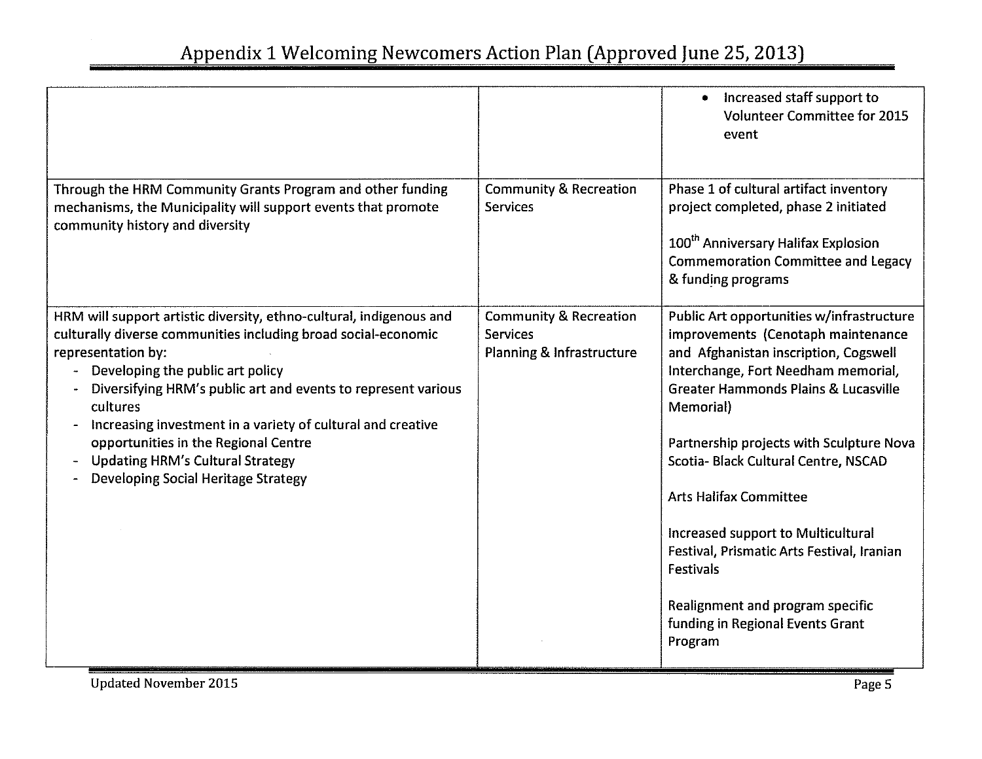|                                                                                                                                                                                                                                                                                                                                                                                                                                                                              |                                                                                   | Increased staff support to<br>۰<br><b>Volunteer Committee for 2015</b><br>event                                                                                                                                                                                                                                                                                                                                                                                                                                                                 |
|------------------------------------------------------------------------------------------------------------------------------------------------------------------------------------------------------------------------------------------------------------------------------------------------------------------------------------------------------------------------------------------------------------------------------------------------------------------------------|-----------------------------------------------------------------------------------|-------------------------------------------------------------------------------------------------------------------------------------------------------------------------------------------------------------------------------------------------------------------------------------------------------------------------------------------------------------------------------------------------------------------------------------------------------------------------------------------------------------------------------------------------|
| Through the HRM Community Grants Program and other funding<br>mechanisms, the Municipality will support events that promote<br>community history and diversity                                                                                                                                                                                                                                                                                                               | <b>Community &amp; Recreation</b><br><b>Services</b>                              | Phase 1 of cultural artifact inventory<br>project completed, phase 2 initiated<br>100 <sup>th</sup> Anniversary Halifax Explosion<br><b>Commemoration Committee and Legacy</b><br>& funding programs                                                                                                                                                                                                                                                                                                                                            |
| HRM will support artistic diversity, ethno-cultural, indigenous and<br>culturally diverse communities including broad social-economic<br>representation by:<br>Developing the public art policy<br>Diversifying HRM's public art and events to represent various<br>cultures<br>Increasing investment in a variety of cultural and creative<br>opportunities in the Regional Centre<br><b>Updating HRM's Cultural Strategy</b><br><b>Developing Social Heritage Strategy</b> | <b>Community &amp; Recreation</b><br><b>Services</b><br>Planning & Infrastructure | Public Art opportunities w/infrastructure<br>improvements (Cenotaph maintenance<br>and Afghanistan inscription, Cogswell<br>Interchange, Fort Needham memorial,<br><b>Greater Hammonds Plains &amp; Lucasville</b><br>Memorial)<br>Partnership projects with Sculpture Nova<br>Scotia- Black Cultural Centre, NSCAD<br><b>Arts Halifax Committee</b><br>Increased support to Multicultural<br>Festival, Prismatic Arts Festival, Iranian<br><b>Festivals</b><br>Realignment and program specific<br>funding in Regional Events Grant<br>Program |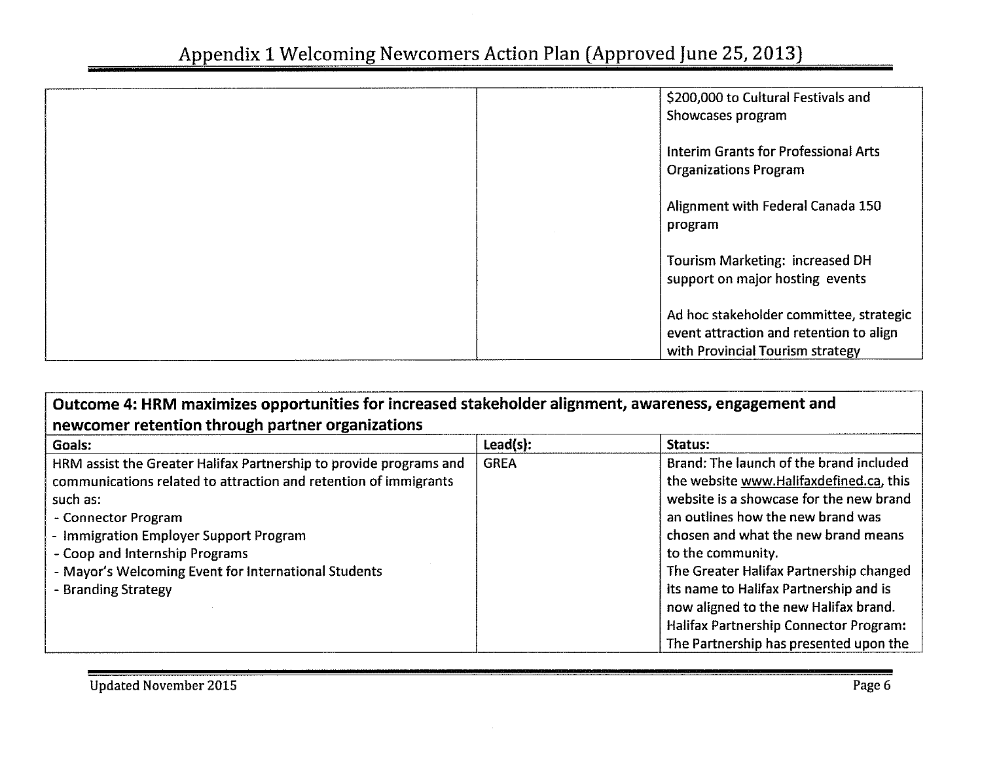| \$200,000 to Cultural Festivals and<br>Showcases program                                                               |
|------------------------------------------------------------------------------------------------------------------------|
| Interim Grants for Professional Arts<br><b>Organizations Program</b>                                                   |
| Alignment with Federal Canada 150<br>program                                                                           |
| <b>Tourism Marketing: increased DH</b><br>support on major hosting events                                              |
| Ad hoc stakeholder committee, strategic<br>event attraction and retention to align<br>with Provincial Tourism strategy |

# **Outcome 4: HRM maximizes opportunities for increased stakeholder alignment, awareness, engagement and newcomer retention through partner organizations**

| Goals:                                                             | $\textsf{lead}(s)$ : | Status:                                       |
|--------------------------------------------------------------------|----------------------|-----------------------------------------------|
| HRM assist the Greater Halifax Partnership to provide programs and | <b>GREA</b>          | Brand: The launch of the brand included       |
| communications related to attraction and retention of immigrants   |                      | the website www.Halifaxdefined.ca, this       |
| such as:                                                           |                      | website is a showcase for the new brand       |
| - Connector Program                                                |                      | an outlines how the new brand was             |
| - Immigration Employer Support Program                             |                      | chosen and what the new brand means           |
| - Coop and Internship Programs                                     |                      | to the community.                             |
| - Mayor's Welcoming Event for International Students               |                      | The Greater Halifax Partnership changed       |
| - Branding Strategy                                                |                      | its name to Halifax Partnership and is        |
|                                                                    |                      | now aligned to the new Halifax brand.         |
|                                                                    |                      | <b>Halifax Partnership Connector Program:</b> |
|                                                                    |                      | The Partnership has presented upon the        |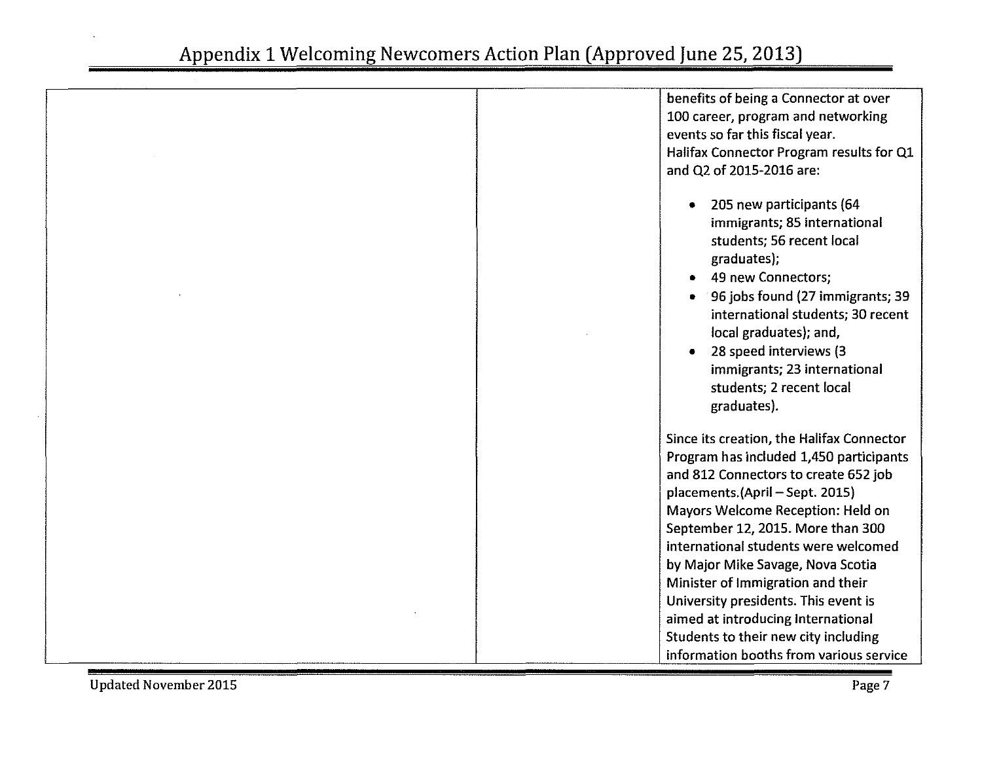| benefits of being a Connector at over                                                                                                                                                                                                                                                                               |
|---------------------------------------------------------------------------------------------------------------------------------------------------------------------------------------------------------------------------------------------------------------------------------------------------------------------|
| 100 career, program and networking                                                                                                                                                                                                                                                                                  |
|                                                                                                                                                                                                                                                                                                                     |
| events so far this fiscal year.                                                                                                                                                                                                                                                                                     |
| Halifax Connector Program results for Q1                                                                                                                                                                                                                                                                            |
| and Q2 of 2015-2016 are:                                                                                                                                                                                                                                                                                            |
| 205 new participants (64<br>immigrants; 85 international<br>students; 56 recent local<br>graduates);<br>49 new Connectors;<br>96 jobs found (27 immigrants; 39<br>international students; 30 recent<br>local graduates); and,<br>28 speed interviews (3<br>immigrants; 23 international<br>students; 2 recent local |
| graduates).                                                                                                                                                                                                                                                                                                         |
| Since its creation, the Halifax Connector                                                                                                                                                                                                                                                                           |
| Program has included 1,450 participants                                                                                                                                                                                                                                                                             |
| and 812 Connectors to create 652 job                                                                                                                                                                                                                                                                                |
| placements.(April - Sept. 2015)                                                                                                                                                                                                                                                                                     |
| Mayors Welcome Reception: Held on                                                                                                                                                                                                                                                                                   |
| September 12, 2015. More than 300                                                                                                                                                                                                                                                                                   |
| international students were welcomed                                                                                                                                                                                                                                                                                |
| by Major Mike Savage, Nova Scotia                                                                                                                                                                                                                                                                                   |
| Minister of Immigration and their                                                                                                                                                                                                                                                                                   |
| University presidents. This event is                                                                                                                                                                                                                                                                                |
| aimed at introducing International                                                                                                                                                                                                                                                                                  |
| Students to their new city including                                                                                                                                                                                                                                                                                |
| information booths from various service                                                                                                                                                                                                                                                                             |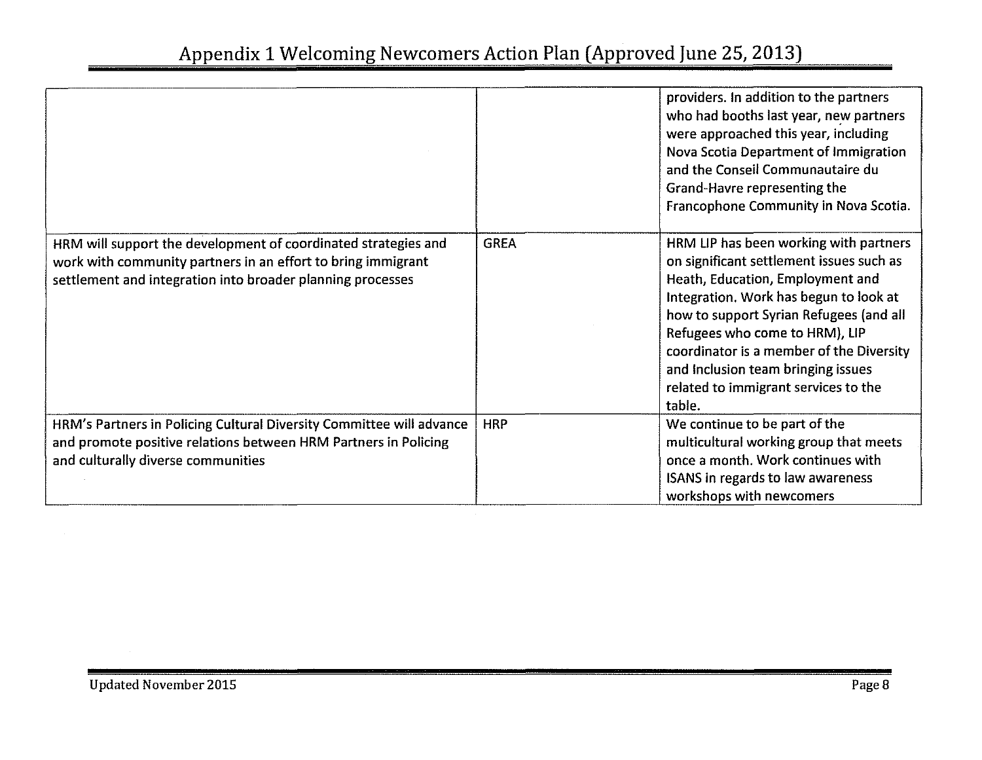|                                                                                                                                                                                              |             | providers. In addition to the partners<br>who had booths last year, new partners<br>were approached this year, including<br>Nova Scotia Department of Immigration<br>and the Conseil Communautaire du<br>Grand-Havre representing the<br>Francophone Community in Nova Scotia.                                                                                                    |
|----------------------------------------------------------------------------------------------------------------------------------------------------------------------------------------------|-------------|-----------------------------------------------------------------------------------------------------------------------------------------------------------------------------------------------------------------------------------------------------------------------------------------------------------------------------------------------------------------------------------|
| HRM will support the development of coordinated strategies and<br>work with community partners in an effort to bring immigrant<br>settlement and integration into broader planning processes | <b>GREA</b> | HRM LIP has been working with partners<br>on significant settlement issues such as<br>Heath, Education, Employment and<br>Integration. Work has begun to look at<br>how to support Syrian Refugees (and all<br>Refugees who come to HRM), LIP<br>coordinator is a member of the Diversity<br>and Inclusion team bringing issues<br>related to immigrant services to the<br>table. |
| HRM's Partners in Policing Cultural Diversity Committee will advance<br>and promote positive relations between HRM Partners in Policing<br>and culturally diverse communities                | <b>HRP</b>  | We continue to be part of the<br>multicultural working group that meets<br>once a month. Work continues with<br><b>ISANS in regards to law awareness</b><br>workshops with newcomers                                                                                                                                                                                              |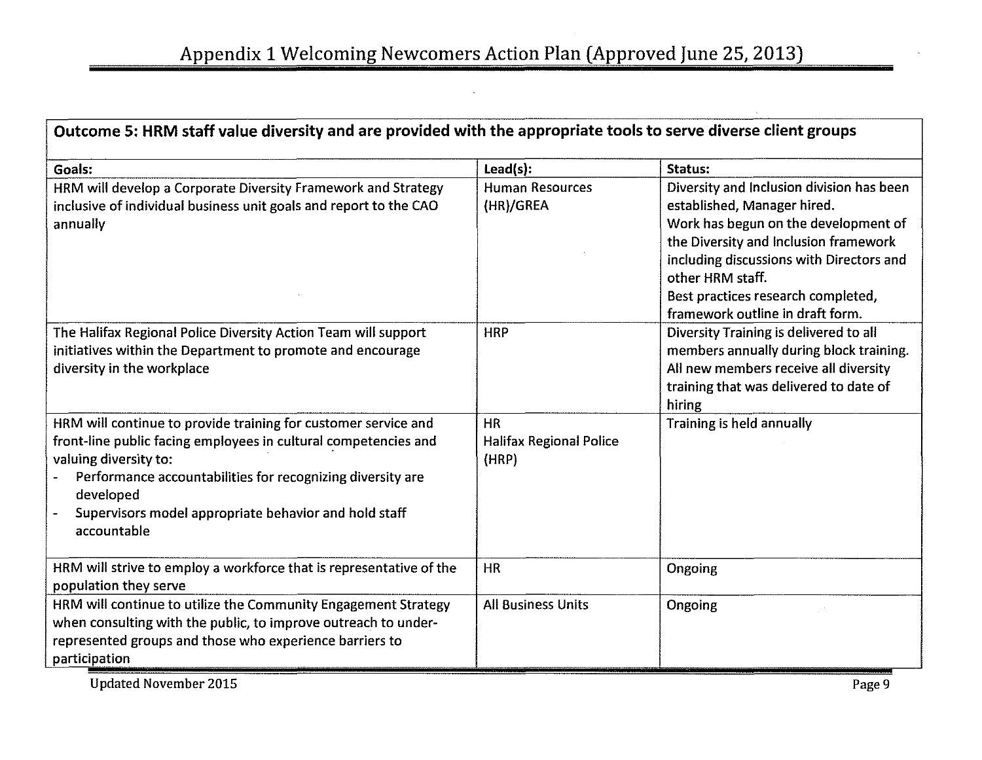| Outcome 5: HRM staff value diversity and are provided with the appropriate tools to serve diverse client groups                                                                                                                                                                                               |                                                      |                                                                                                                                                                                                                                                                                                     |  |
|---------------------------------------------------------------------------------------------------------------------------------------------------------------------------------------------------------------------------------------------------------------------------------------------------------------|------------------------------------------------------|-----------------------------------------------------------------------------------------------------------------------------------------------------------------------------------------------------------------------------------------------------------------------------------------------------|--|
| Goals:                                                                                                                                                                                                                                                                                                        | Lead(s):                                             | Status:                                                                                                                                                                                                                                                                                             |  |
| HRM will develop a Corporate Diversity Framework and Strategy<br>inclusive of individual business unit goals and report to the CAO<br>annually                                                                                                                                                                | <b>Human Resources</b><br>(HR)/GREA                  | Diversity and Inclusion division has been<br>established, Manager hired.<br>Work has begun on the development of<br>the Diversity and Inclusion framework<br>including discussions with Directors and<br>other HRM staff.<br>Best practices research completed,<br>framework outline in draft form. |  |
| The Halifax Regional Police Diversity Action Team will support<br>initiatives within the Department to promote and encourage<br>diversity in the workplace                                                                                                                                                    | <b>HRP</b>                                           | Diversity Training is delivered to all<br>members annually during block training.<br>All new members receive all diversity<br>training that was delivered to date of<br>hiring                                                                                                                      |  |
| HRM will continue to provide training for customer service and<br>front-line public facing employees in cultural competencies and<br>valuing diversity to:<br>Performance accountabilities for recognizing diversity are<br>developed<br>Supervisors model appropriate behavior and hold staff<br>accountable | <b>HR</b><br><b>Halifax Regional Police</b><br>(HRP) | Training is held annually                                                                                                                                                                                                                                                                           |  |
| HRM will strive to employ a workforce that is representative of the<br>population they serve                                                                                                                                                                                                                  | <b>HR</b>                                            | Ongoing                                                                                                                                                                                                                                                                                             |  |
| HRM will continue to utilize the Community Engagement Strategy<br>when consulting with the public, to improve outreach to under-<br>represented groups and those who experience barriers to<br>participation                                                                                                  | <b>All Business Units</b>                            | Ongoing                                                                                                                                                                                                                                                                                             |  |

Updated November 2015 Page 9